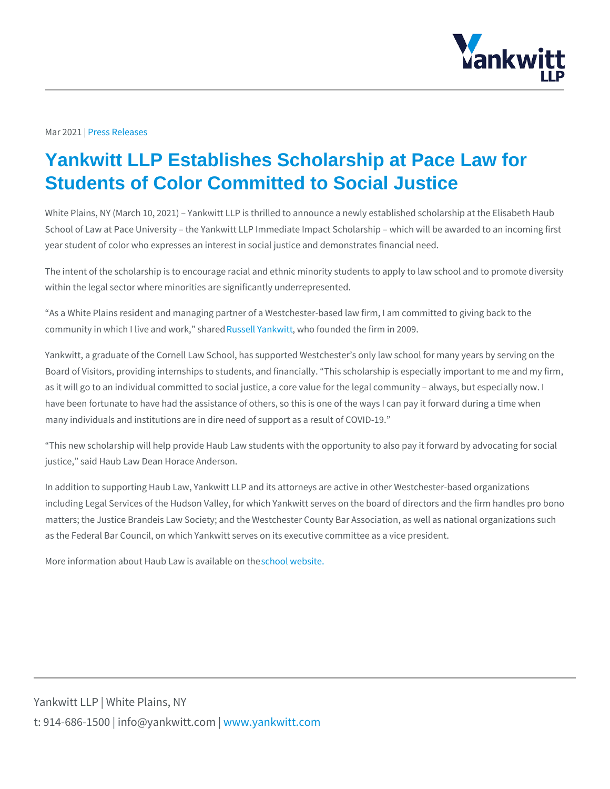## Mar 20 P2 ress Releases

## Yankwitt LLP Establishes Scholarship at Pace Law for Students of Color Committed to Social Justice

White Plains, NY (March 10, 2021) Yankwitt LLP is thrilled to announce a newly School of Law at Pace University the Yankwitt LLP Immediate Impact Scholarsh year student of color who expresses an interest in social justice and demonstrate

The intent of the scholarship is to encourage racial and ethnic minority students within the legal sector where minorities are significantly underrepresented.

As a White Plains resident and managing partner of a Westchester-based law fir community in which I live  $\mathbb R$  muds swed of RY, a makh maninum ded the firm in 2009.

Yankwitt, a graduate of the Cornell Law School, has supported Westchester s onl Board of Visitors, providing internships to students, and financially. This schola as it will go to an individual committed to social justice, a core value for the leg have been fortunate to have had the assistance of others, so this is one of the w many individuals and institutions are in dire need of support as a result of COVI

This new scholarship will help provide Haub Law students with the opportunity t justice, said Haub Law Dean Horace Anderson.

In addition to supporting Haub Law, Yankwitt LLP and its attorneys are active in including Legal Services of the Hudson Valley, for which Yankwitt serves on the matters; the Justice Brandeis Law Society; and the Westchester County Bar Asso as the Federal Bar Council, on which Yankwitt serves on its executive committee

More information about Haub Laswo hissola was bestite on the

Yankwitt LLP | White Plains, NY t:  $914 - 686 - 1500$  | info@y wawn ky wom it kt wo it between  $p$  m.